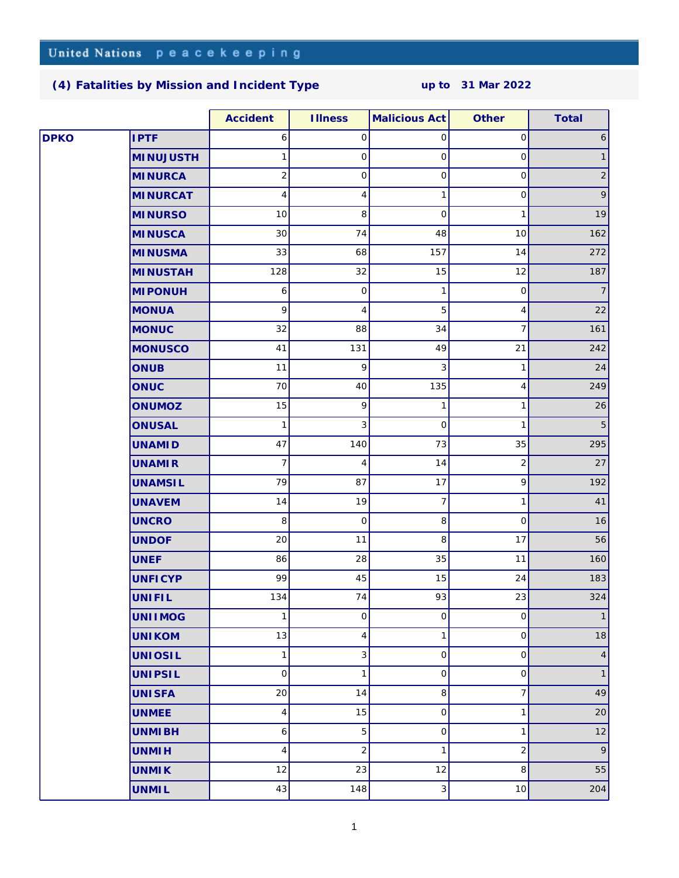## **[\(4\) Fatalities by Mission and Incident Type](http://www.un.org/Depts/dpko/fatalities/) up to 31 Mar 2022**

|             |                  | Accident            | <b>Illness</b> | <b>Malicious Act</b> | Other          | Total           |
|-------------|------------------|---------------------|----------------|----------------------|----------------|-----------------|
| <b>DPKO</b> | <b>IPTF</b>      | 6                   | 0              | 0                    | $\mathsf O$    | 6               |
|             | <b>MINUJUSTH</b> | 1                   | $\mathsf O$    | $\mathbf 0$          | $\mathsf{O}$   | $\mathbf{1}$    |
|             | <b>MINURCA</b>   | $\overline{c}$      | $\mathsf O$    | 0                    | $\mbox{O}$     | $\vert$ 2       |
|             | <b>MINURCAT</b>  | 4                   | 4              | 1                    | $\mathsf O$    | $\vert 9 \vert$ |
|             | <b>MINURSO</b>   | 10                  | 8              | $\mathbf 0$          | $\mathbf{1}$   | 19              |
|             | <b>MINUSCA</b>   | 30                  | 74             | 48                   | 10             | 162             |
|             | <b>MINUSMA</b>   | 33                  | 68             | 157                  | 14             | 272             |
|             | <b>MINUSTAH</b>  | 128                 | 32             | 15                   | 12             | 187             |
|             | <b>MI PONUH</b>  | 6                   | $\mathsf O$    | 1                    | $\mathsf O$    | 7               |
|             | <b>MONUA</b>     | 9                   | $\overline{4}$ | 5                    | 4              | 22              |
|             | <b>MONUC</b>     | 32                  | 88             | 34                   | 7              | 161             |
|             | <b>MONUSCO</b>   | 41                  | 131            | 49                   | 21             | 242             |
|             | <b>ONUB</b>      | 11                  | 9              | 3                    | $\mathbf{1}$   | 24              |
|             | ONUC             | 70                  | 40             | 135                  | 4              | 249             |
|             | ONUMOZ           | 15                  | 9              | 1                    | 1              | 26              |
|             | <b>ONUSAL</b>    | 1                   | 3              | $\mathbf 0$          | 1              | 5               |
|             | <b>UNAMID</b>    | 47                  | 140            | 73                   | 35             | 295             |
|             | <b>UNAMIR</b>    | 7                   | 4              | 14                   | $\overline{2}$ | 27              |
|             | <b>UNAMSIL</b>   | 79                  | 87             | 17                   | 9              | 192             |
|             | <b>UNAVEM</b>    | 14                  | 19             | 7                    | 1              | 41              |
|             | <b>UNCRO</b>     | 8                   | $\mathsf O$    | 8                    | $\mathbf 0$    | 16              |
|             | <b>UNDOF</b>     | 20                  | 11             | 8                    | 17             | 56              |
|             | <b>UNEF</b>      | 86                  | 28             | 35                   | 11             | 160             |
|             | <b>UNFICYP</b>   | 99                  | 45             | 15                   | 24             | 183             |
|             | UNIFIL           | 134                 | 74             | 93                   | 23             | 324             |
|             | <b>UNIIMOG</b>   | 1                   | 0              | 0                    | $\mathsf O$    | 1               |
|             | <b>UNIKOM</b>    | 13                  | 4              | 1                    | $\overline{0}$ | 18              |
|             | <b>UNIOSIL</b>   | 1                   | 3              | 0                    | $\mathsf O$    | 4               |
|             | <b>UNIPSIL</b>   | $\mathsf{O}\xspace$ | $\mathbf{1}$   | $\mathsf{O}$         | $\mbox{O}$     | $\mathbf{1}$    |
|             | <b>UNISFA</b>    | 20                  | 14             | 8                    | $\overline{7}$ | 49              |
|             | <b>UNMEE</b>     | 4                   | 15             | $\mathsf O$          | 1              | 20              |
|             | <b>UNMIBH</b>    | 6                   | 5              | $\mathsf O$          | 1              | 12              |
|             | <b>UNMIH</b>     | 4                   | $\sqrt{2}$     | 1                    | 2              | 9               |
|             | <b>UNMIK</b>     | 12                  | 23             | 12                   | 8              | 55              |
|             | <b>UNMIL</b>     | 43                  | 148            | 3                    | $10$           | 204             |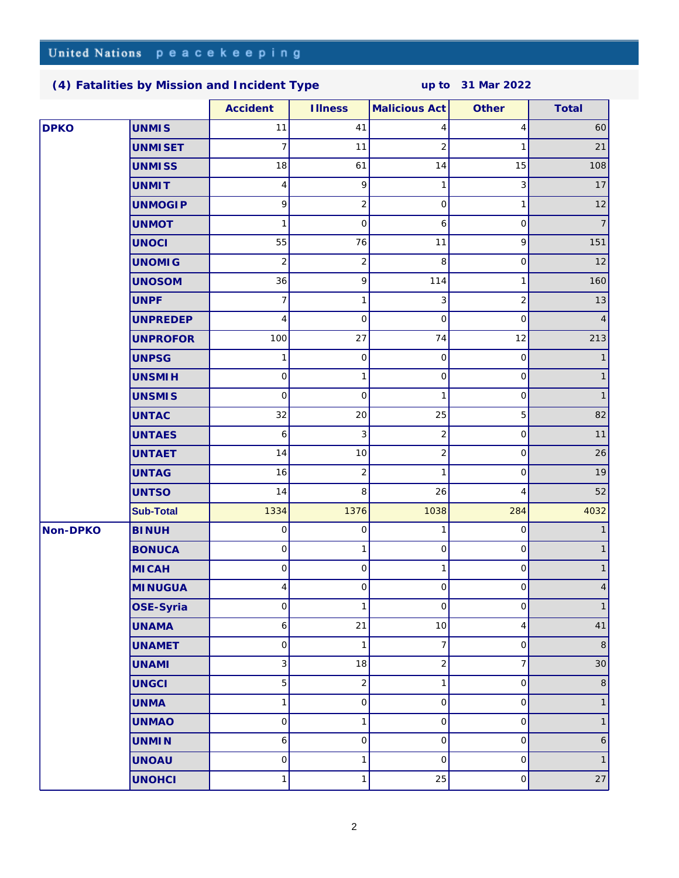**[\(4\) Fatalities by Mission and Incident Type](http://www.un.org/Depts/dpko/fatalities/) up to 31 Mar 2022**

|             |                  | Accident     | <b>Illness</b>      | Malicious Act       | Other          | Total          |
|-------------|------------------|--------------|---------------------|---------------------|----------------|----------------|
| <b>DPKO</b> | <b>UNMIS</b>     | 11           | 41                  | 4                   | 4              | 60             |
|             | <b>UNMISET</b>   | 7            | 11                  | 2                   | 1              | 21             |
|             | <b>UNMISS</b>    | 18           | 61                  | 14                  | 15             | 108            |
|             | <b>UNMIT</b>     | 4            | 9                   | 1                   | 3              | 17             |
|             | <b>UNMOGIP</b>   | 9            | $\sqrt{2}$          | $\mathbf 0$         | 1              | 12             |
|             | <b>UNMOT</b>     | 1            | $\mathbf 0$         | 6                   | 0              | $\overline{7}$ |
|             | <b>UNOCI</b>     | 55           | 76                  | 11                  | 9              | 151            |
|             | <b>UNOMIG</b>    | 2            | $\overline{c}$      | 8                   | $\mathsf O$    | 12             |
|             | <b>UNOSOM</b>    | 36           | 9                   | 114                 | 1              | 160            |
|             | <b>UNPF</b>      | 7            | $\mathbf{1}$        | 3                   | $\overline{2}$ | 13             |
|             | <b>UNPREDEP</b>  | 4            | $\mathbf 0$         | $\mathcal{O}$       | $\mathbf 0$    |                |
|             | <b>UNPROFOR</b>  | 100          | 27                  | 74                  | 12             | 213            |
|             | <b>UNPSG</b>     | 1            | $\mathsf O$         | $\mathbf 0$         | $\mathsf O$    | 1              |
|             | <b>UNSMIH</b>    | $\mathsf O$  | $\mathbf{1}$        | $\mathsf O$         | $\mbox{O}$     | $\mathbf{1}$   |
|             | <b>UNSMIS</b>    | $\mathsf O$  | $\mathbf 0$         | 1                   | 0              | $\mathbf{1}$   |
|             | <b>UNTAC</b>     | 32           | 20                  | 25                  | 5              | 82             |
|             | <b>UNTAES</b>    | 6            | 3                   | 2                   | $\mathbf 0$    | 11             |
|             | <b>UNTAET</b>    | 14           | 10                  | 2                   | 0              | 26             |
|             | <b>UNTAG</b>     | 16           | $\overline{c}$      | 1                   | 0              | 19             |
|             | <b>UNTSO</b>     | 14           | 8                   | 26                  | 4              | 52             |
|             | <b>Sub-Total</b> | 1334         | 1376                | 1038                | 284            | 4032           |
| Non-DPKO    | <b>BINUH</b>     | 0            | $\mathsf O$         | 1                   | $\mathsf O$    |                |
|             | <b>BONUCA</b>    | $\mathsf O$  | 1                   | $\mathbf 0$         | $\mathsf{O}$   | 1              |
|             | <b>MICAH</b>     | $\mathsf O$  | $\mathsf O$         | 1                   | 0              |                |
|             | <b>MINUGUA</b>   | 4            | $\mathsf{O}\xspace$ | $\mathsf{O}\xspace$ | $\mathsf O$    | 4              |
|             | OSE-Syria        | $\circ$      | 1                   | $\mathsf O$         | $\hbox{O}$     |                |
|             | <b>UNAMA</b>     | 6            | 21                  | 10                  | 4              | 41             |
|             | <b>UNAMET</b>    | $\mathbf 0$  | $\mathbf{1}$        | 7                   | $\mathsf O$    | 8 <sup>1</sup> |
|             | <b>UNAMI</b>     | 3            | 18                  | $\overline{c}$      | $\overline{7}$ | 30             |
|             | <b>UNGCI</b>     | 5            | $\overline{c}$      | 1                   | $\mbox{O}$     | 8              |
|             | <b>UNMA</b>      | $\mathbf{1}$ | $\hbox{O}$          | $\mathsf O$         | $\mathsf{O}$   | 1              |
|             | <b>UNMAO</b>     | $\mathsf{O}$ | $\mathbf{1}$        | 0                   | $\mathsf{O}$   | $\mathbf{1}$   |
|             | <b>UNMIN</b>     | 6            | $\mathsf O$         | $\mathsf O$         | $\mbox{O}$     | 6              |
|             | <b>UNOAU</b>     | $\mathsf O$  | 1                   | $\mathbf 0$         | $\mbox{O}$     | $\mathbf{1}$   |
|             | <b>UNOHCI</b>    | 1            | $\mathbf 1$         | 25                  | $\hbox{O}$     | $27\,$         |